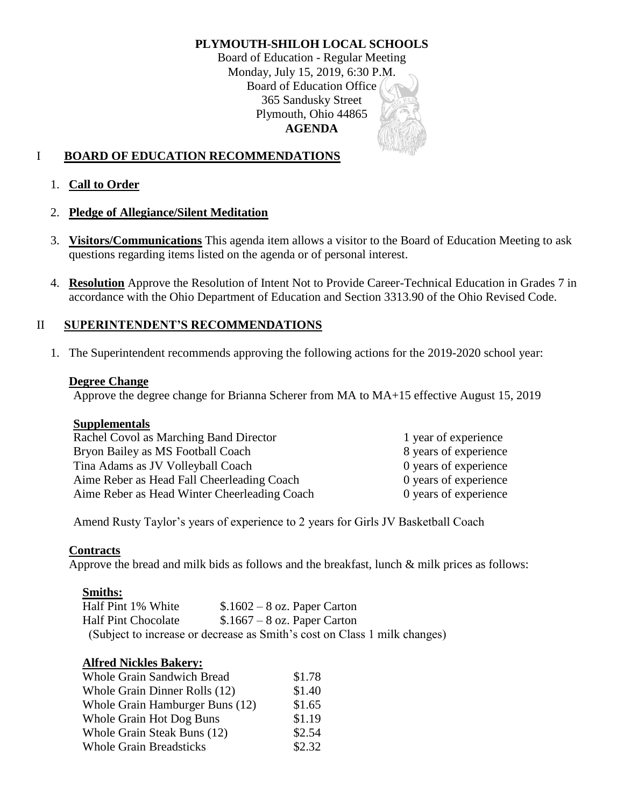# **PLYMOUTH-SHILOH LOCAL SCHOOLS**

Board of Education - Regular Meeting Monday, July 15, 2019, 6:30 P.M. Board of Education Office 365 Sandusky Street Plymouth, Ohio 44865 **AGENDA**

# I **BOARD OF EDUCATION RECOMMENDATIONS**

### 1. **Call to Order**

### 2. **Pledge of Allegiance/Silent Meditation**

- 3. **Visitors/Communications** This agenda item allows a visitor to the Board of Education Meeting to ask questions regarding items listed on the agenda or of personal interest.
- 4. **Resolution** Approve the Resolution of Intent Not to Provide Career-Technical Education in Grades 7 in accordance with the Ohio Department of Education and Section 3313.90 of the Ohio Revised Code.

### II **SUPERINTENDENT'S RECOMMENDATIONS**

1. The Superintendent recommends approving the following actions for the 2019-2020 school year:

### **Degree Change**

Approve the degree change for Brianna Scherer from MA to MA+15 effective August 15, 2019

### **Supplementals**

| Rachel Covol as Marching Band Director       | 1 year of experience  |
|----------------------------------------------|-----------------------|
| Bryon Bailey as MS Football Coach            | 8 years of experience |
| Tina Adams as JV Volleyball Coach            | 0 years of experience |
| Aime Reber as Head Fall Cheerleading Coach   | 0 years of experience |
| Aime Reber as Head Winter Cheerleading Coach | 0 years of experience |

Amend Rusty Taylor's years of experience to 2 years for Girls JV Basketball Coach

### **Contracts**

Approve the bread and milk bids as follows and the breakfast, lunch & milk prices as follows:

### **Smiths:**

Half Pint 1% White  $$.1602 - 8$  oz. Paper Carton Half Pint Chocolate \$.1667 – 8 oz. Paper Carton (Subject to increase or decrease as Smith's cost on Class 1 milk changes)

### **Alfred Nickles Bakery:**

| <b>Whole Grain Sandwich Bread</b> | \$1.78 |
|-----------------------------------|--------|
| Whole Grain Dinner Rolls (12)     | \$1.40 |
| Whole Grain Hamburger Buns (12)   | \$1.65 |
| <b>Whole Grain Hot Dog Buns</b>   | \$1.19 |
| Whole Grain Steak Buns (12)       | \$2.54 |
| <b>Whole Grain Breadsticks</b>    | \$2.32 |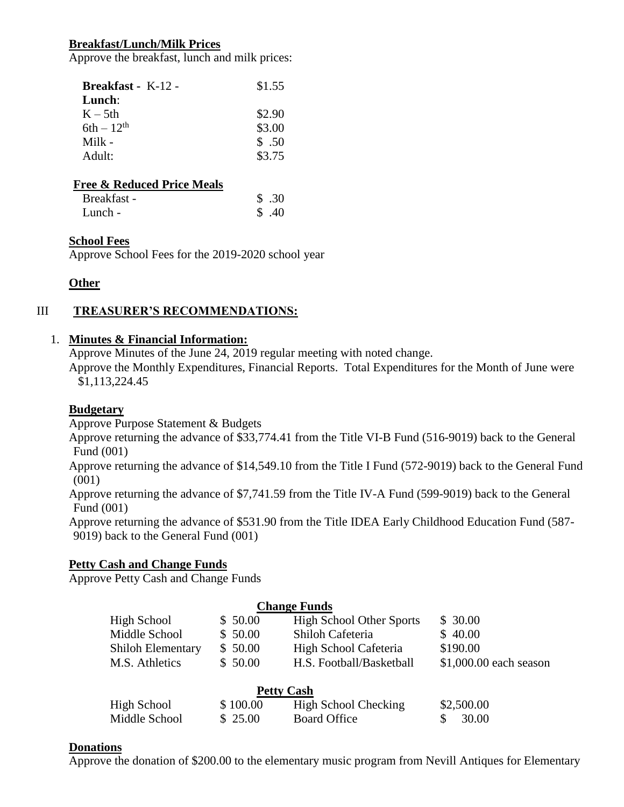# **Breakfast/Lunch/Milk Prices**

Approve the breakfast, lunch and milk prices:

| <b>Breakfast</b> - $K-12$ -<br>Lunch: | \$1.55 |
|---------------------------------------|--------|
| $K - 5th$                             | \$2.90 |
| $6th-12^{th}$                         | \$3.00 |
| Milk $-$                              | \$.50  |
| Adult:                                | \$3.75 |
|                                       |        |

## **Free & Reduced Price Meals**

| Breakfast - | \$.30 |
|-------------|-------|
| Lunch -     | \$.40 |

### **School Fees**

Approve School Fees for the 2019-2020 school year

# **Other**

# III **TREASURER'S RECOMMENDATIONS:**

### 1. **Minutes & Financial Information:**

Approve Minutes of the June 24, 2019 regular meeting with noted change.

Approve the Monthly Expenditures, Financial Reports. Total Expenditures for the Month of June were \$1,113,224.45

## **Budgetary**

Approve Purpose Statement & Budgets

Approve returning the advance of \$33,774.41 from the Title VI-B Fund (516-9019) back to the General Fund (001)

Approve returning the advance of \$14,549.10 from the Title I Fund (572-9019) back to the General Fund (001)

Approve returning the advance of \$7,741.59 from the Title IV-A Fund (599-9019) back to the General Fund (001)

Approve returning the advance of \$531.90 from the Title IDEA Early Childhood Education Fund (587- 9019) back to the General Fund (001)

### **Petty Cash and Change Funds**

Approve Petty Cash and Change Funds

|                          |          | <b>Change Funds</b>             |                        |
|--------------------------|----------|---------------------------------|------------------------|
| High School              | \$50.00  | <b>High School Other Sports</b> | \$30.00                |
| Middle School            | \$50.00  | Shiloh Cafeteria                | \$40.00                |
| <b>Shiloh Elementary</b> | \$50.00  | High School Cafeteria           | \$190.00               |
| M.S. Athletics           | \$50.00  | H.S. Football/Basketball        | \$1,000.00 each season |
|                          |          | <b>Petty Cash</b>               |                        |
| High School              | \$100.00 | High School Checking            | \$2,500.00             |
| Middle School            | \$25.00  | <b>Board Office</b>             | 30.00                  |

### **Donations**

Approve the donation of \$200.00 to the elementary music program from Nevill Antiques for Elementary